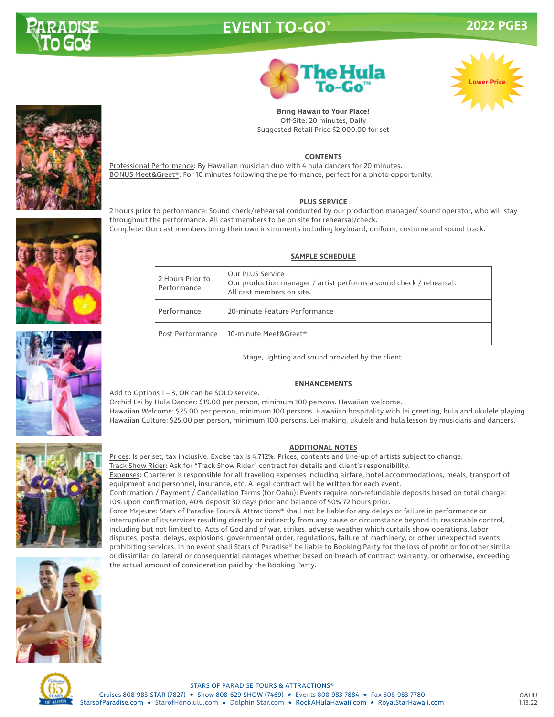

# **EVENT TO-GO® 2022 PGE3**





**Bring Hawaii to Your Place!** Off-Site: 20 minutes, Daily Suggested Retail Price \$2,000.00 for set

### **CONTENTS**

Professional Performance: By Hawaiian musician duo with 4 hula dancers for 20 minutes. BONUS Meet&Greet®: For 10 minutes following the performance, perfect for a photo opportunity.

#### **PLUS SERVICE**

2 hours prior to performance: Sound check/rehearsal conducted by our production manager/ sound operator, who will stay throughout the performance. All cast members to be on site for rehearsal/check. Complete: Our cast members bring their own instruments including keyboard, uniform, costume and sound track.

#### **SAMPLE SCHEDULE**

| 2 Hours Prior to<br>Performance | Our PLUS Service<br>Our production manager / artist performs a sound check / rehearsal.<br>All cast members on site. |
|---------------------------------|----------------------------------------------------------------------------------------------------------------------|
| Performance                     | 20-minute Feature Performance                                                                                        |
| Post Performance                | 10-minute Meet&Greet®                                                                                                |

Stage, lighting and sound provided by the client.

#### **ENHANCEMENTS**

Orchid Lei by Hula Dancer: \$19.00 per person, minimum 100 persons. Hawaiian welcome. Hawaiian Welcome: \$25.00 per person, minimum 100 persons. Hawaiian hospitality with lei greeting, hula and ukulele playing. Hawaiian Culture: \$25.00 per person, minimum 100 persons. Lei making, ukulele and hula lesson by musicians and dancers.

### **ADDITIONAL NOTES**

Prices: Is per set, tax inclusive. Excise tax is 4.712%. Prices, contents and line-up of artists subject to change.

Track Show Rider: Ask for "Track Show Rider" contract for details and client's responsibility.

Expenses: Charterer is responsible for all traveling expenses including airfare, hotel accommodations, meals, transport of equipment and personnel, insurance, etc. A legal contract will be written for each event.

Confirmation / Payment / Cancellation Terms (for Oahu): Events require non-refundable deposits based on total charge: 10% upon confirmation, 40% deposit 30 days prior and balance of 50% 72 hours prior.

Force Majeure: Stars of Paradise Tours & Attractions® shall not be liable for any delays or failure in performance or interruption of its services resulting directly or indirectly from any cause or circumstance beyond its reasonable control, including but not limited to, Acts of God and of war, strikes, adverse weather which curtails show operations, labor disputes, postal delays, explosions, governmental order, regulations, failure of machinery, or other unexpected events prohibiting services. In no event shall Stars of Paradise® be liable to Booking Party for the loss of profit or for other similar or dissimilar collateral or consequential damages whether based on breach of contract warranty, or otherwise, exceeding the actual amount of consideration paid by the Booking Party.